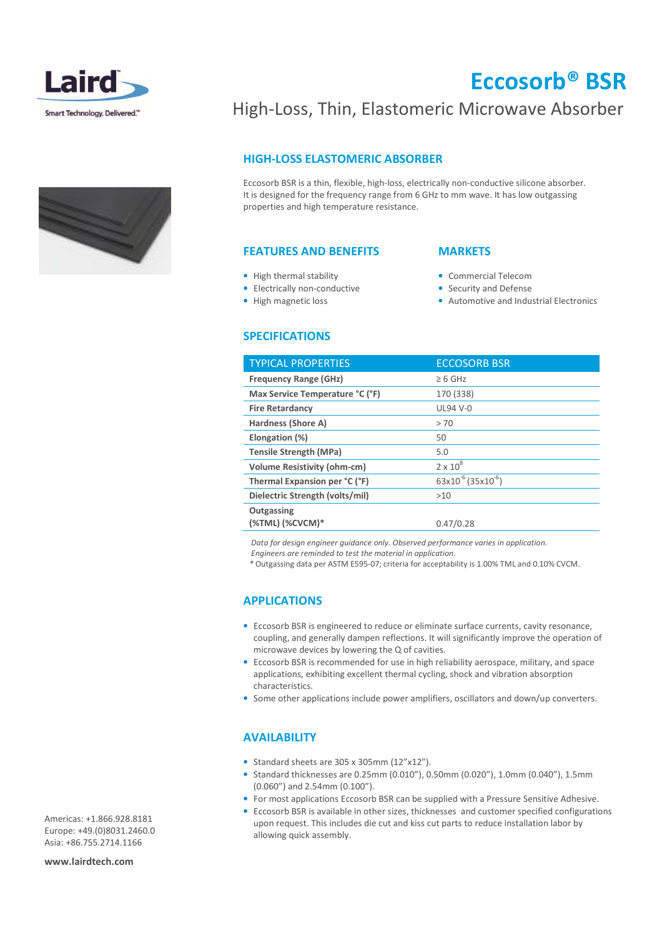

# Eccosorb® BSR

## High-Loss, Thin, Elastomeric Microwave Absorber

## HIGH-LOSS ELASTOMERIC ABSORBER

Eccosorb BSR is a thin, flexible, high-loss, electrically non-conductive silicone absorber. It is designed for the frequency range from 6 GHz to mm wave. It has low outgassing properties and high temperature resistance.

### FEATURES AND BENEFITS

### • High thermal stability

- Electrically non-conductive
- High magnetic loss

### SPECIFICATIONS

### **MARKETS**

- Commercial Telecom
- Security and Defense
- Automotive and Industrial Electronics

| <b>TYPICAL PROPERTIES</b>          | <b>ECCOSORB BSR</b>                 |
|------------------------------------|-------------------------------------|
| <b>Frequency Range (GHz)</b>       | $\geq 6$ GHz                        |
| Max Service Temperature °C (°F)    | 170 (338)                           |
| <b>Fire Retardancy</b>             | <b>UL94 V-0</b>                     |
| Hardness (Shore A)                 | > 70                                |
| Elongation (%)                     | 50                                  |
| <b>Tensile Strength (MPa)</b>      | 5.0                                 |
| <b>Volume Resistivity (ohm-cm)</b> | $2 \times 10^8$                     |
| Thermal Expansion per °C (°F)      | $63x10^{-6}$ (35x10 <sup>-6</sup> ) |
| Dielectric Strength (volts/mil)    | >10                                 |
| Outgassing                         |                                     |
| (%TML) (%CVCM)*                    | 0.47/0.28                           |

Data for design engineer guidance only. Observed performance varies in application.

Engineers are reminded to test the material in application.

\* Outgassing data per ASTM E595-07; criteria for acceptability is 1.00% TML and 0.10% CVCM.

## APPLICATIONS

- Eccosorb BSR is engineered to reduce or eliminate surface currents, cavity resonance, coupling, and generally dampen reflections. It will significantly improve the operation of microwave devices by lowering the Q of cavities.
- Eccosorb BSR is recommended for use in high reliability aerospace, military, and space applications, exhibiting excellent thermal cycling, shock and vibration absorption characteristics.
- Some other applications include power amplifiers, oscillators and down/up converters.

### AVAILABILITY

- Standard sheets are 305 x 305mm (12"x12").
- Standard thicknesses are 0.25mm (0.010"), 0.50mm (0.020"), 1.0mm (0.040"), 1.5mm (0.060") and 2.54mm (0.100").
- For most applications Eccosorb BSR can be supplied with a Pressure Sensitive Adhesive.
- Eccosorb BSR is available in other sizes, thicknesses and customer specified configurations upon request. This includes die cut and kiss cut parts to reduce installation labor by allowing quick assembly.

Americas: +1.866.928.8181 Europe: +49.(0)8031.2460.0 Asia: +86.755.2714.1166

www.lairdtech.com